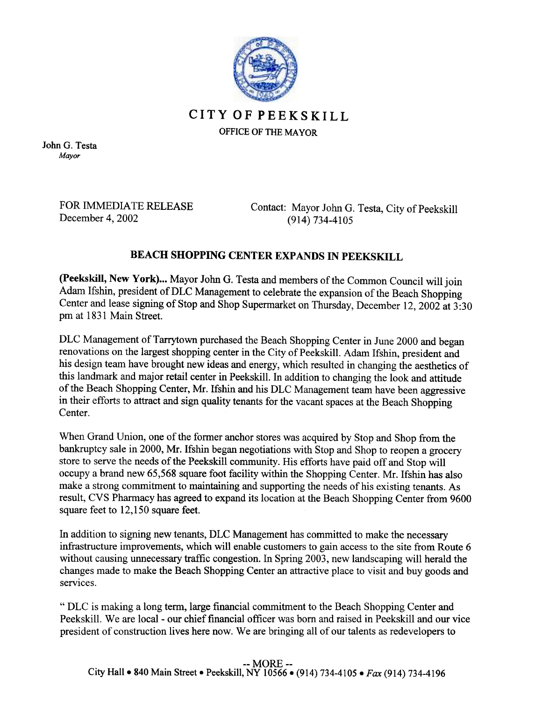

## CITYOFPEEKSKILL

OFFICE OF THE MAYOR

John G. Testa Mayor

> FOR IMMEDIATE RELEASE December 4, 2002

Contact: Mayor John G. Testa, City of Peekskill (914) 734-4105

## BEACH SHOPPING CENTER EXPANDS IN PEEKSKILL

(peekskill, New York)... Mayor John G. Testa and members of the Common Council will join Adam Ifshin, president of DLC Management to celebrate the expansion of the Beach Shopping Center and lease signing of Stop and Shop Supermarket on Thursday, December 12,2002 at 3:30 pm at 1831 Main Street.

DLC Management of Tarrytown purchased the Beach Shopping Center in June 2000 and began renovations on the largest shopping center in the City of Peekskill. Adam Ifshin, president and his design team have brought new ideas and energy, which resulted in changing the aesthetics of this landmark and major retail center in Peekskill. In addition to changing the look and attitude of the Beach Shopping Center, Mr. Ifshin and his DLC Management team have been aggressive in their efforts to attract and sign quality tenants for the vacant spaces at the Beach Shopping Center.

When Grand Union, one of the former anchor stores was acquired by Stop and Shop from the bankruptcy sale in 2000, Mr. Ifshin began negotiations with Stop and Shop to reopen a grocery store to serve the needs of the Peekskill community. His efforts have paid off and Stop will occupy a brand new 65,568 square foot facility within the Shopping Center. Mr. Ifshin has also make a strong commitment to maintaining and supporting the needs of his existing tenants. As result, CVS Pharmacy has agreed to expand its location at the Beach Shopping Center from 9600 square feet to 12,150 square feet.

In addition to signing new tenants, DLC Management has committed to make the necessary infrastructure improvements, which will enable customers to gain access to the site from Route 6 without causing unnecessary traffic congestion. In Spring 2003, new landscaping will herald the changes made to make the Beach Shopping Center an attractive place to visit and buy goods and services.

"DLC is making a long term, large financial commitment to the Beach Shopping Center and Peekskill. We are local - our chief financial officer was born and raised in Peekskill and our vice president of construction lives here now. We are bringing all of our talents as redevelopers to